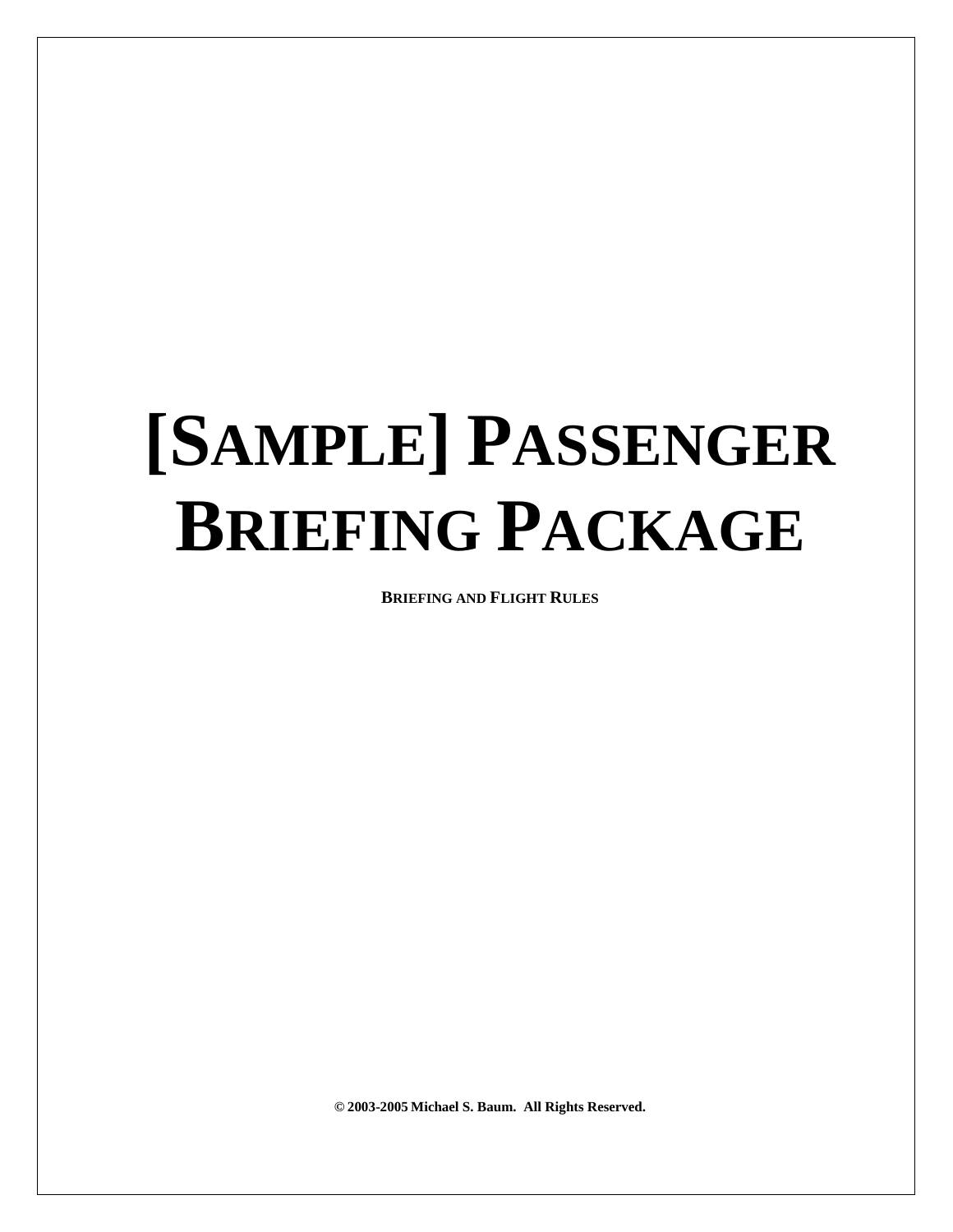# **[SAMPLE] PASSENGER BRIEFING PACKAGE**

**BRIEFING AND FLIGHT RULES**

**© 2003-2005 Michael S. Baum. All Rights Reserved.**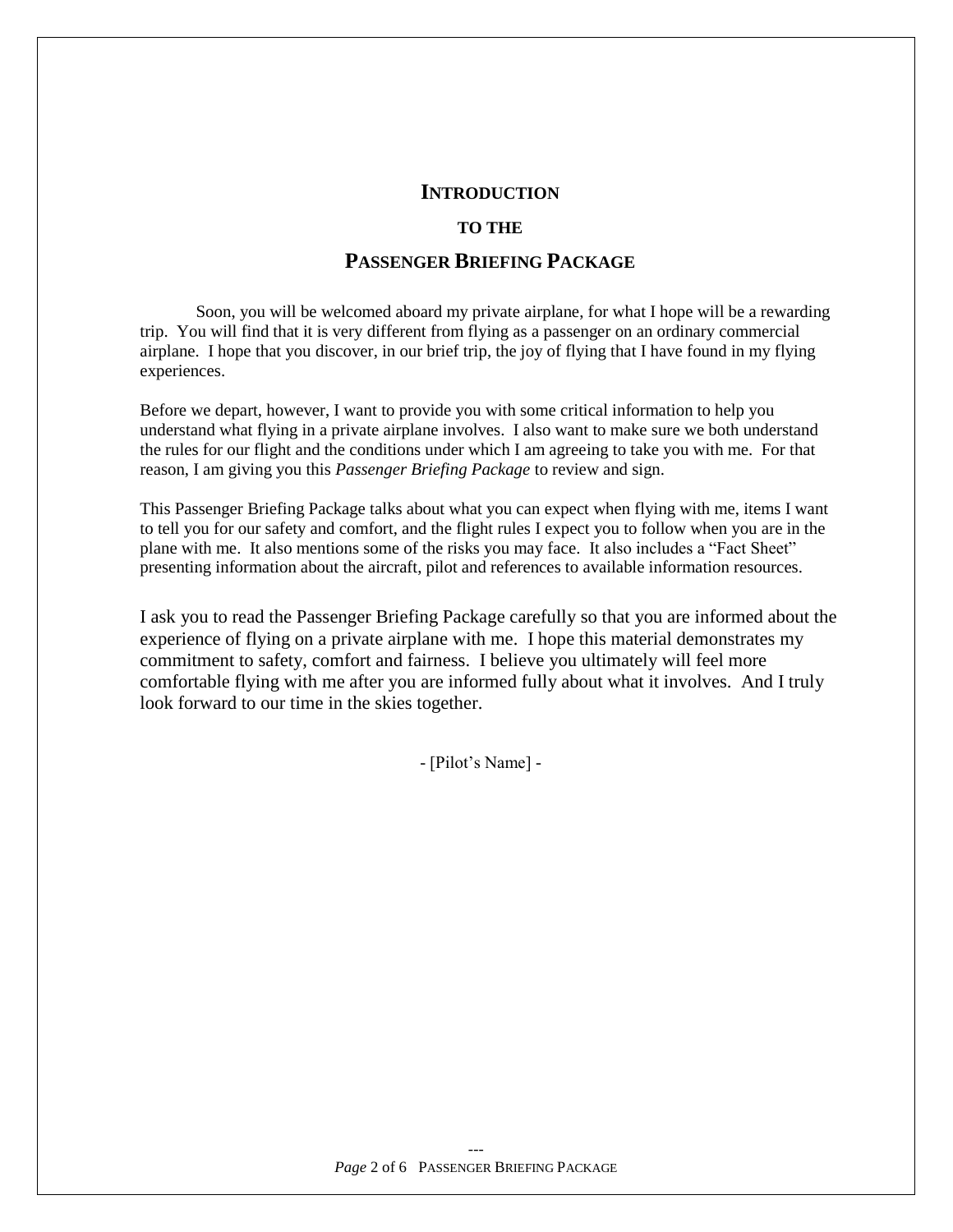#### **INTRODUCTION**

#### **TO THE**

# **PASSENGER BRIEFING PACKAGE**

Soon, you will be welcomed aboard my private airplane, for what I hope will be a rewarding trip. You will find that it is very different from flying as a passenger on an ordinary commercial airplane. I hope that you discover, in our brief trip, the joy of flying that I have found in my flying experiences.

Before we depart, however, I want to provide you with some critical information to help you understand what flying in a private airplane involves. I also want to make sure we both understand the rules for our flight and the conditions under which I am agreeing to take you with me. For that reason, I am giving you this *Passenger Briefing Package* to review and sign.

This Passenger Briefing Package talks about what you can expect when flying with me, items I want to tell you for our safety and comfort, and the flight rules I expect you to follow when you are in the plane with me. It also mentions some of the risks you may face. It also includes a "Fact Sheet" presenting information about the aircraft, pilot and references to available information resources.

I ask you to read the Passenger Briefing Package carefully so that you are informed about the experience of flying on a private airplane with me. I hope this material demonstrates my commitment to safety, comfort and fairness. I believe you ultimately will feel more comfortable flying with me after you are informed fully about what it involves. And I truly look forward to our time in the skies together.

 $-[Pilot'sName]$  -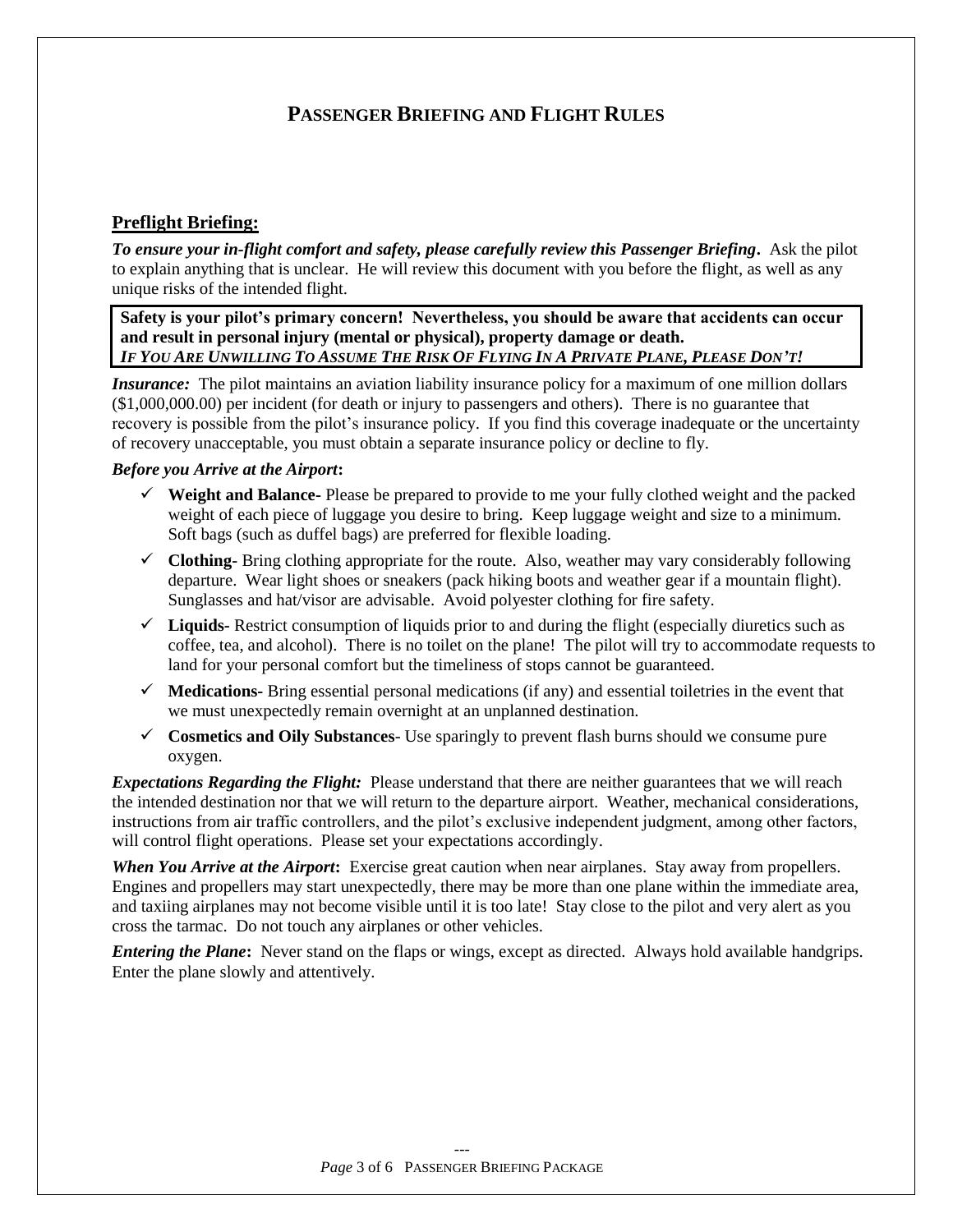# **PASSENGER BRIEFING AND FLIGHT RULES**

# **Preflight Briefing:**

*To ensure your in-flight comfort and safety, please carefully review this Passenger Briefing***.** Ask the pilot to explain anything that is unclear. He will review this document with you before the flight, as well as any unique risks of the intended flight.

Safety is your pilot's primary concern! Nevertheless, you should be aware that accidents can occur **and result in personal injury (mental or physical), property damage or death.** IF YOU ARE UNWILLING TO ASSUME THE RISK OF FLYING IN A PRIVATE PLANE, PLEASE DON'T!

*Insurance:* The pilot maintains an aviation liability insurance policy for a maximum of one million dollars (\$1,000,000.00) per incident (for death or injury to passengers and others). There is no guarantee that recovery is possible from the pilot's insurance policy. If you find this coverage inadequate or the uncertainty of recovery unacceptable, you must obtain a separate insurance policy or decline to fly.

#### *Before you Arrive at the Airport***:**

- **Weight and Balance-** Please be prepared to provide to me your fully clothed weight and the packed weight of each piece of luggage you desire to bring. Keep luggage weight and size to a minimum. Soft bags (such as duffel bags) are preferred for flexible loading.
- $\checkmark$  **Clothing-** Bring clothing appropriate for the route. Also, weather may vary considerably following departure. Wear light shoes or sneakers (pack hiking boots and weather gear if a mountain flight). Sunglasses and hat/visor are advisable. Avoid polyester clothing for fire safety.
- $\checkmark$  Liquids-Restrict consumption of liquids prior to and during the flight (especially diuretics such as coffee, tea, and alcohol). There is no toilet on the plane! The pilot will try to accommodate requests to land for your personal comfort but the timeliness of stops cannot be guaranteed.
- $\checkmark$  **Medications-** Bring essential personal medications (if any) and essential toiletries in the event that we must unexpectedly remain overnight at an unplanned destination.
- **Cosmetics and Oily Substances** Use sparingly to prevent flash burns should we consume pure oxygen.

*Expectations Regarding the Flight:* Please understand that there are neither guarantees that we will reach the intended destination nor that we will return to the departure airport. Weather, mechanical considerations, instructions from air traffic controllers, and the pilot's exclusive independent judgment, among other factors, will control flight operations. Please set your expectations accordingly.

*When You Arrive at the Airport***:** Exercise great caution when near airplanes. Stay away from propellers. Engines and propellers may start unexpectedly, there may be more than one plane within the immediate area, and taxiing airplanes may not become visible until it is too late! Stay close to the pilot and very alert as you cross the tarmac. Do not touch any airplanes or other vehicles.

*Entering the Plane***:** Never stand on the flaps or wings, except as directed. Always hold available handgrips. Enter the plane slowly and attentively.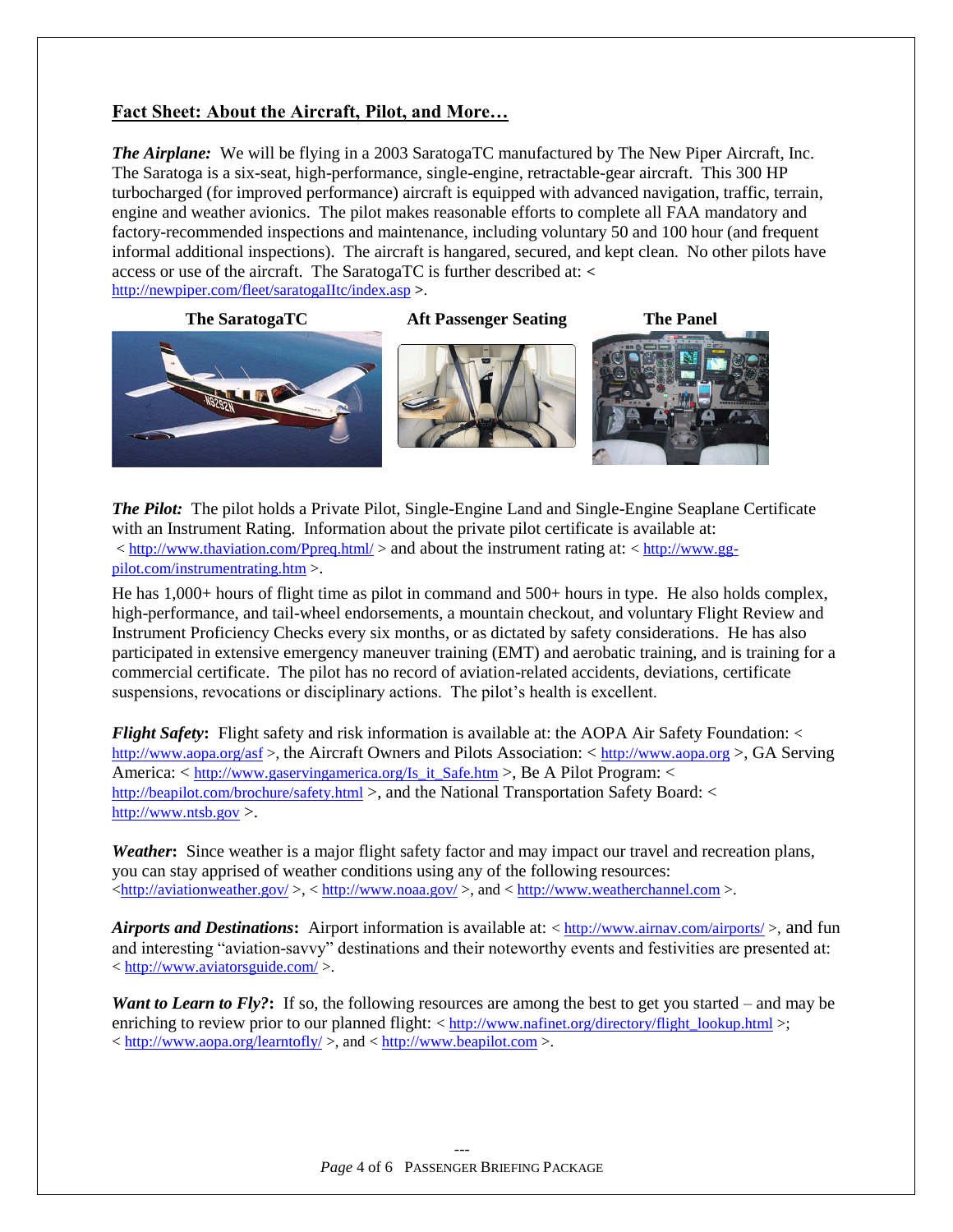## Fact Sheet: About the Aircraft, Pilot, and More...

*The Airplane:* We will be flying in a 2003 SaratogaTC manufactured by The New Piper Aircraft, Inc. The Saratoga is a six-seat, high-performance, single-engine, retractable-gear aircraft. This 300 HP turbocharged (for improved performance) aircraft is equipped with advanced navigation, traffic, terrain, engine and weather avionics. The pilot makes reasonable efforts to complete all FAA mandatory and factory-recommended inspections and maintenance, including voluntary 50 and 100 hour (and frequent informal additional inspections). The aircraft is hangared, secured, and kept clean. No other pilots have access or use of the aircraft. The SaratogaTC is further described at: *<* http://newpiper.com/fleet/saratogaIItc/index.asp **>**.

**The SaratogaTC Aft Passenger Seating The Panel**



*The Pilot:* The pilot holds a Private Pilot, Single-Engine Land and Single-Engine Seaplane Certificate with an Instrument Rating. Information about the private pilot certificate is available at: < http://www.thaviation.com/Ppreq.html/ > and about the instrument rating at: < http://www.ggpilot.com/instrumentrating.htm >.

He has 1,000+ hours of flight time as pilot in command and 500+ hours in type. He also holds complex, high-performance, and tail-wheel endorsements, a mountain checkout, and voluntary Flight Review and Instrument Proficiency Checks every six months, or as dictated by safety considerations. He has also participated in extensive emergency maneuver training (EMT) and aerobatic training, and is training for a commercial certificate. The pilot has no record of aviation-related accidents, deviations, certificate suspensions, revocations or disciplinary actions. The pilot's health is excellent.

*Flight Safety*: Flight safety and risk information is available at: the AOPA Air Safety Foundation: < http://www.aopa.org/asf >, the Aircraft Owners and Pilots Association: < http://www.aopa.org >, GA Serving America: < http://www.gaservingamerica.org/Is\_it\_Safe.htm >, Be A Pilot Program: < http://beapilot.com/brochure/safety.html >, and the National Transportation Safety Board: < http://www.ntsb.gov >.

*Weather***:** Since weather is a major flight safety factor and may impact our travel and recreation plans, you can stay apprised of weather conditions using any of the following resources:  $\frac{\text{http://aviationweather.gov/}}{0.5}$ ,  $\frac{\text{http://www.noaa.gov/}}{0.5}$ , and  $\frac{\text{http://www.weatherchannel.com}}{0.5}$ .

*Airports and Destinations***:** Airport information is available at: < http://www.airnav.com/airports/ >, and fun and interesting "aviation-savvy" destinations and their noteworthy events and festivities are presented at: < http://www.aviatorsguide.com/ >.

*Want to Learn to Fly?*: If so, the following resources are among the best to get you started – and may be enriching to review prior to our planned flight:  $\langle h(t) \rangle$  = http://www.nafinet.org/directory/flight\_lookup.html  $\rangle$ :  $\langle \frac{\text{http://www.aopa.org/learntofly/}}{\text{http://www.bequiplot.com}} \rangle$ , and  $\langle \frac{\text{http://www.bequiplot.com}}{\text{http://www.bequiplot.com}} \rangle$ .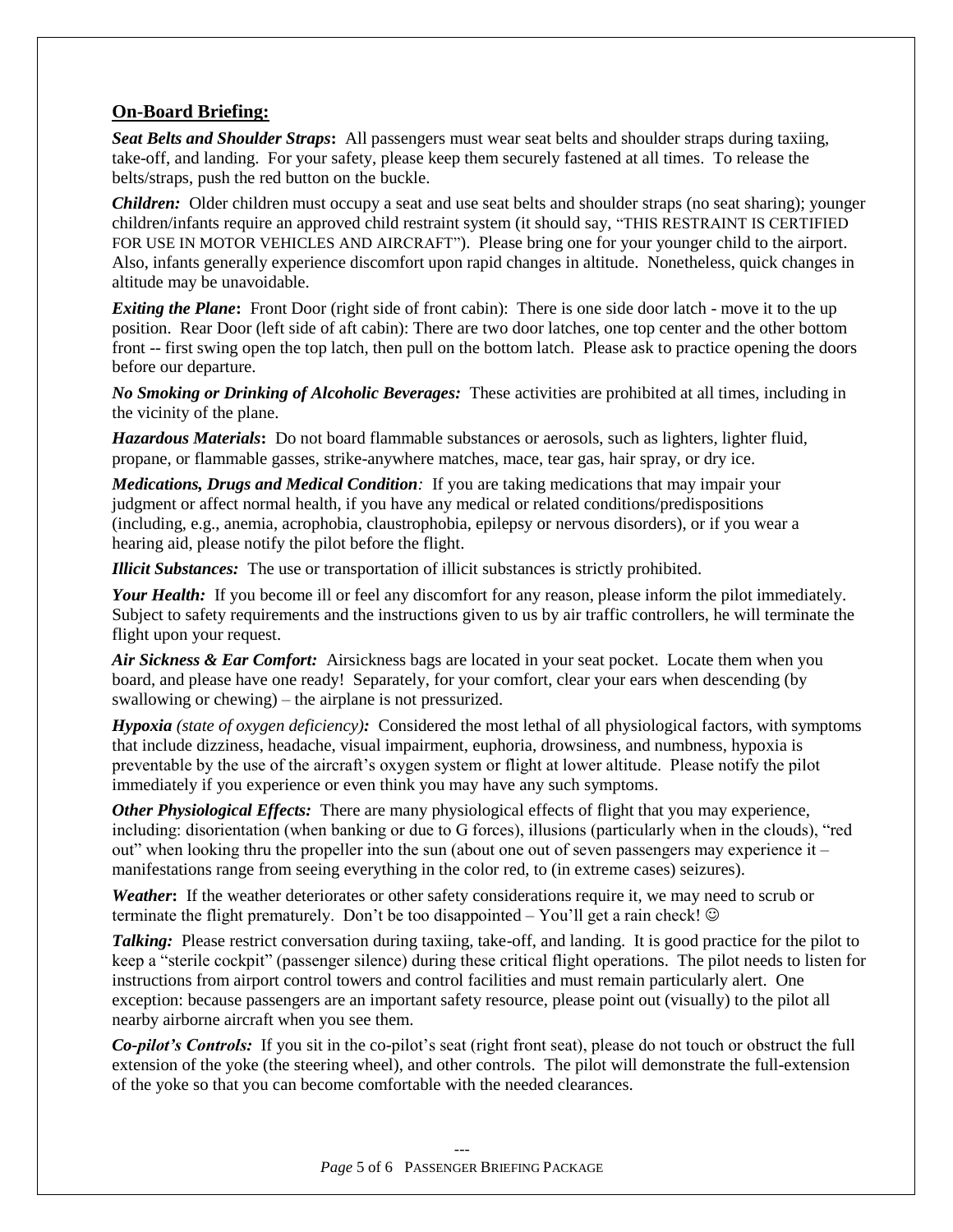### **On-Board Briefing:**

*Seat Belts and Shoulder Straps***:** All passengers must wear seat belts and shoulder straps during taxiing, take-off, and landing. For your safety, please keep them securely fastened at all times. To release the belts/straps, push the red button on the buckle.

*Children:* Older children must occupy a seat and use seat belts and shoulder straps (no seat sharing); younger children/infants require an approved child restraint system (it should say, "THIS RESTRAINT IS CERTIFIED FOR USE IN MOTOR VEHICLES AND AIRCRAFT"). Please bring one for your younger child to the airport. Also, infants generally experience discomfort upon rapid changes in altitude. Nonetheless, quick changes in altitude may be unavoidable.

*Exiting the Plane*: Front Door (right side of front cabin): There is one side door latch - move it to the up position. Rear Door (left side of aft cabin): There are two door latches, one top center and the other bottom front -- first swing open the top latch, then pull on the bottom latch. Please ask to practice opening the doors before our departure.

*No Smoking or Drinking of Alcoholic Beverages:* These activities are prohibited at all times, including in the vicinity of the plane.

*Hazardous Materials***:** Do not board flammable substances or aerosols, such as lighters, lighter fluid, propane, or flammable gasses, strike-anywhere matches, mace, tear gas, hair spray, or dry ice.

*Medications, Drugs and Medical Condition:* If you are taking medications that may impair your judgment or affect normal health, if you have any medical or related conditions/predispositions (including, e.g., anemia, acrophobia, claustrophobia, epilepsy or nervous disorders), or if you wear a hearing aid, please notify the pilot before the flight.

*Illicit Substances:* The use or transportation of illicit substances is strictly prohibited.

*Your Health:* If you become ill or feel any discomfort for any reason, please inform the pilot immediately. Subject to safety requirements and the instructions given to us by air traffic controllers, he will terminate the flight upon your request.

*Air Sickness & Ear Comfort:* Airsickness bags are located in your seat pocket. Locate them when you board, and please have one ready! Separately, for your comfort, clear your ears when descending (by swallowing or chewing) – the airplane is not pressurized.

*Hypoxia (state of oxygen deficiency):* Considered the most lethal of all physiological factors, with symptoms that include dizziness, headache, visual impairment, euphoria, drowsiness, and numbness, hypoxia is preventable by the use of the aircraft's oxygen system or flight at lower altitude. Please notify the pilot immediately if you experience or even think you may have any such symptoms.

*Other Physiological Effects:* There are many physiological effects of flight that you may experience, including: disorientation (when banking or due to G forces), illusions (particularly when in the clouds), "red out" when looking thru the propeller into the sun (about one out of seven passengers may experience it – manifestations range from seeing everything in the color red, to (in extreme cases) seizures).

*Weather***:** If the weather deteriorates or other safety considerations require it, we may need to scrub or terminate the flight prematurely. Don't be too disappointed – You'll get a rain check!  $\odot$ 

*Talking:* Please restrict conversation during taxiing, take-off, and landing. It is good practice for the pilot to keep a "sterile cockpit" (passenger silence) during these critical flight operations. The pilot needs to listen for instructions from airport control towers and control facilities and must remain particularly alert. One exception: because passengers are an important safety resource, please point out (visually) to the pilot all nearby airborne aircraft when you see them.

*Co-pilot's Controls:* If you sit in the co-pilot's seat (right front seat), please do not touch or obstruct the full extension of the yoke (the steering wheel), and other controls. The pilot will demonstrate the full-extension of the yoke so that you can become comfortable with the needed clearances.